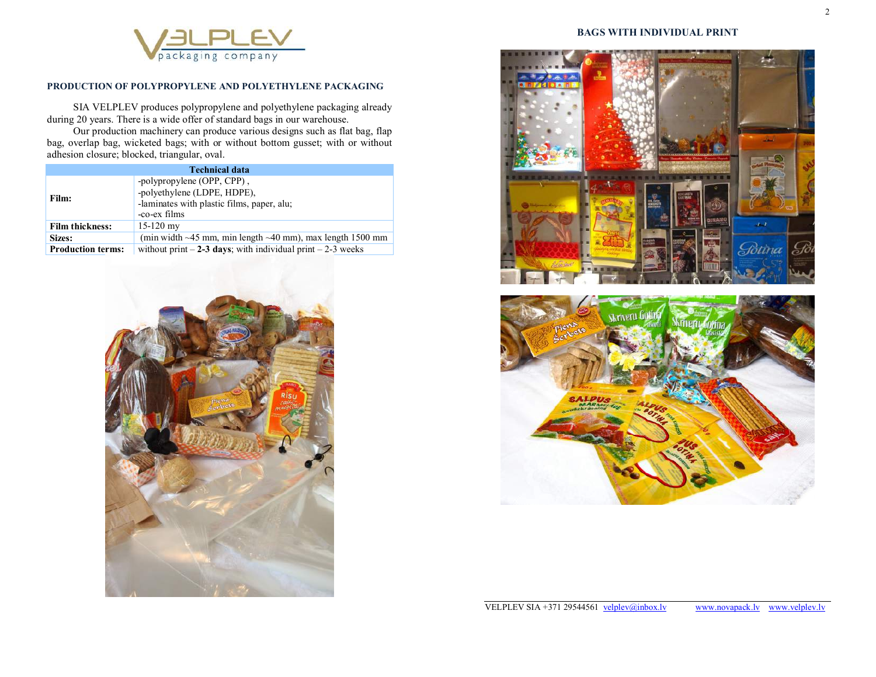

# **PRODUCTION OF POLYPROPYLENE AND POLYETHYLENE PACKAGING**

SIA VELPLEV produces polypropylene and polyethylene packaging already during 20 years. There is a wide offer of standard bags in our warehouse.

Our production machinery can produce various designs such as flat bag, flap bag, overlap bag, wicketed bags; with or without bottom gusset; with or without adhesion closure; blocked, triangular, oval.

| <b>Technical data</b>    |                                                                                                                         |
|--------------------------|-------------------------------------------------------------------------------------------------------------------------|
| Film:                    | -polypropylene (OPP, CPP),<br>-polyethylene (LDPE, HDPE),<br>-laminates with plastic films, paper, alu;<br>-co-ex films |
| <b>Film thickness:</b>   | $15-120$ my                                                                                                             |
| Sizes:                   | (min width $\sim$ 45 mm, min length $\sim$ 40 mm), max length 1500 mm                                                   |
| <b>Production terms:</b> | without print $-2-3$ days; with individual print $-2-3$ weeks                                                           |



### **BAGS WITH INDIVIDUAL PRINT**



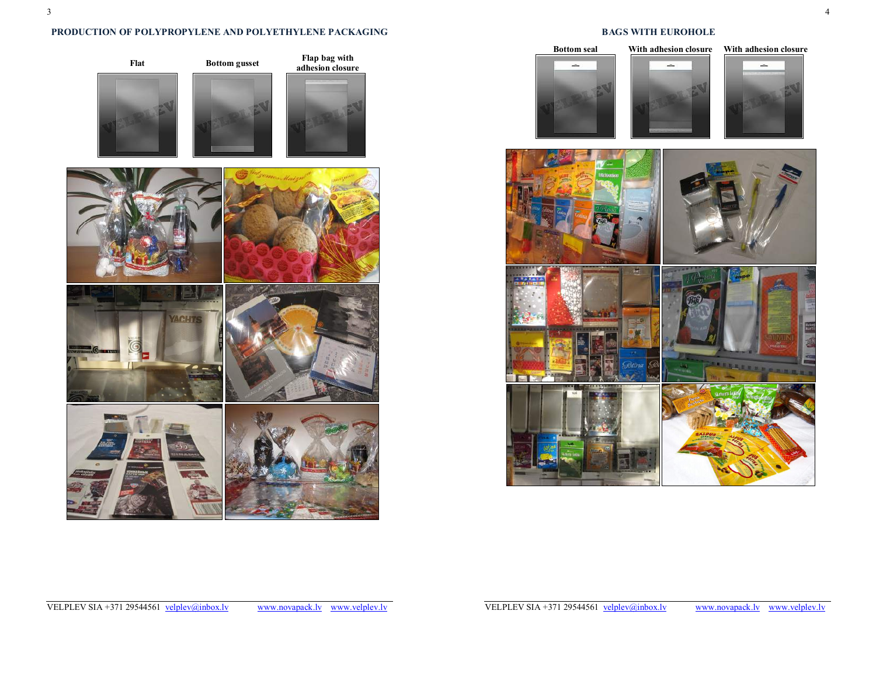## **PRODUCTION OF POLYPROPYLENE AND POLYETHYLENE PACKAGING**



## **BAGS WITH EUROHOLE**





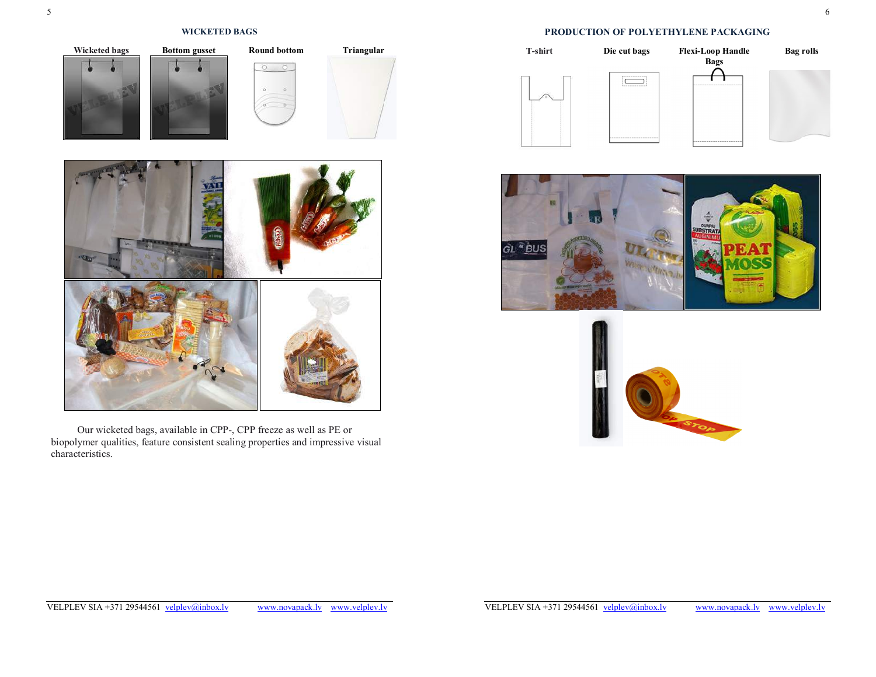### **WICKETED BAGS**



Our wicketed bags, available in CPP-, CPP freeze as well as PE or biopolymer qualities, feature consistent sealing properties and impressive visual characteristics.

## **PRODUCTION OF POLYETHYLENE PACKAGING**





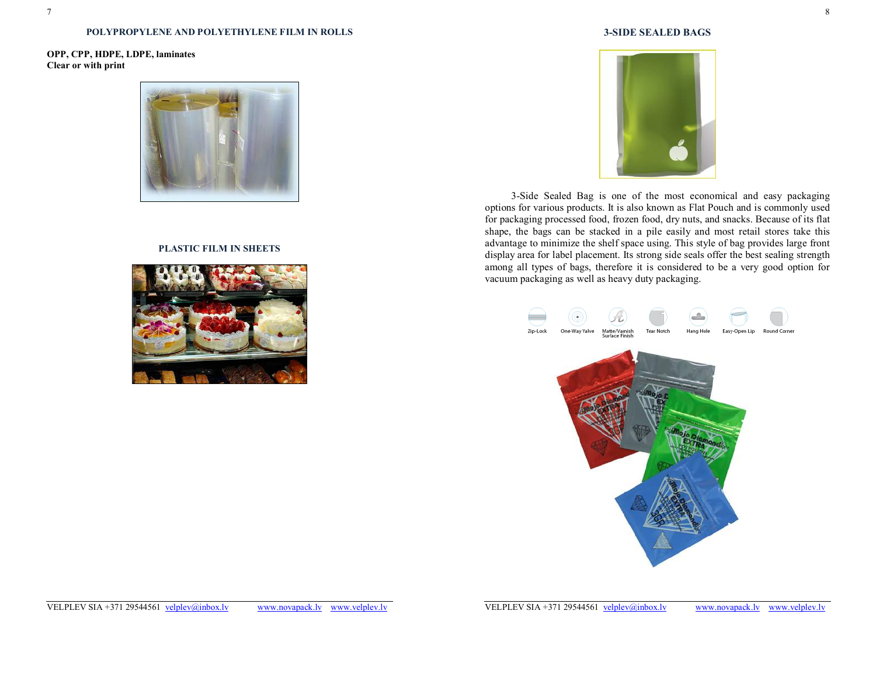#### **POLYPROPYLENE AND POLYETHYLENE FILM IN ROLLS**

## **OPP, CPP, HDPE, LDPE, laminates Clear or with print**



### **PLASTIC FILM IN SHEETS**



### **3-SIDE SEALED BAGS**



3-Side Sealed Bag is one of the most economical and easy packaging options for various products. It is also known as Flat Pouch and is commonly used for packaging processed food, frozen food, dry nuts, and snacks. Because of its flat shape, the bags can be stacked in a pile easily and most retail stores take this advantage to minimize the shelf space using. This style of bag provides large front display area for label placement. Its strong side seals offer the best sealing strength among all types of bags, therefore it is considered to be a very good option for vacuum packaging as well as heavy duty packaging.

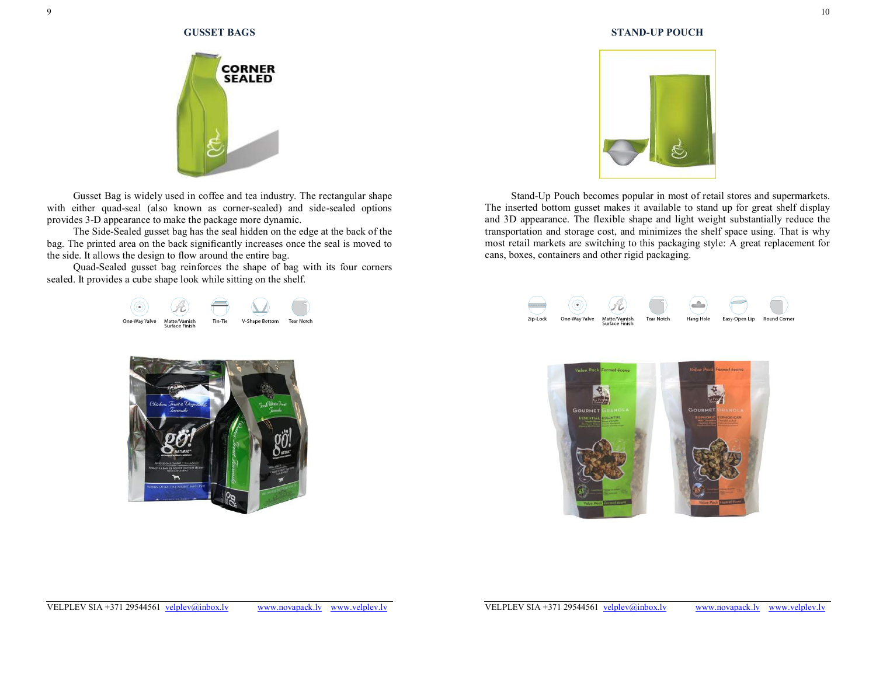

Gusset Bag is widely used in coffee and tea industry. The rectangular shape with either quad-seal (also known as corner-sealed) and side-sealed options provides 3-D appearance to make the package more dynamic.

The Side-Sealed gusset bag has the seal hidden on the edge at the back of the bag. The printed area on the back significantly increases once the seal is moved to the side. It allows the design to flow around the entire bag.

Quad-Sealed gusset bag reinforces the shape of bag with its four corners sealed. It provides a cube shape look while sitting on the shelf.







Stand-Up Pouch becomes popular in most of retail stores and supermarkets. The inserted bottom gusset makes it available to stand up for great shelf display and 3D appearance. The flexible shape and light weight substantially reduce the transportation and storage cost, and minimizes the shelf space using. That is why most retail markets are switching to this packaging style: A great replacement for cans, boxes, containers and other rigid packaging.